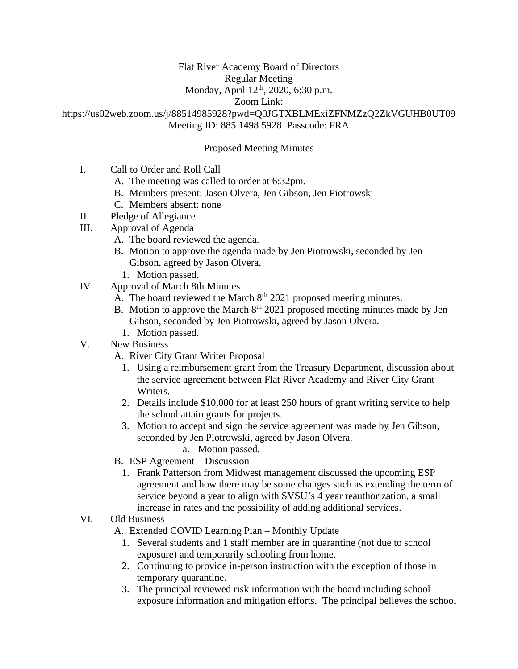### Flat River Academy Board of Directors

Regular Meeting

# Monday, April 12<sup>th</sup>, 2020, 6:30 p.m.

#### Zoom Link:

https://us02web.zoom.us/j/88514985928?pwd=Q0JGTXBLMExiZFNMZzQ2ZkVGUHB0UT09 Meeting ID: 885 1498 5928 Passcode: FRA

### Proposed Meeting Minutes

- I. Call to Order and Roll Call
	- A. The meeting was called to order at 6:32pm.
	- B. Members present: Jason Olvera, Jen Gibson, Jen Piotrowski
	- C. Members absent: none
- II. Pledge of Allegiance
- III. Approval of Agenda
	- A. The board reviewed the agenda.
	- B. Motion to approve the agenda made by Jen Piotrowski, seconded by Jen Gibson, agreed by Jason Olvera.
		- 1. Motion passed.
- IV. Approval of March 8th Minutes
	- A. The board reviewed the March  $8<sup>th</sup> 2021$  proposed meeting minutes.
	- B. Motion to approve the March  $8<sup>th</sup> 2021$  proposed meeting minutes made by Jen Gibson, seconded by Jen Piotrowski, agreed by Jason Olvera.
		- 1. Motion passed.
- V. New Business
	- A. River City Grant Writer Proposal
		- 1. Using a reimbursement grant from the Treasury Department, discussion about the service agreement between Flat River Academy and River City Grant Writers.
		- 2. Details include \$10,000 for at least 250 hours of grant writing service to help the school attain grants for projects.
		- 3. Motion to accept and sign the service agreement was made by Jen Gibson, seconded by Jen Piotrowski, agreed by Jason Olvera.
			- a. Motion passed.
	- B. ESP Agreement Discussion
		- 1. Frank Patterson from Midwest management discussed the upcoming ESP agreement and how there may be some changes such as extending the term of service beyond a year to align with SVSU's 4 year reauthorization, a small increase in rates and the possibility of adding additional services.

## VI. Old Business

A. Extended COVID Learning Plan – Monthly Update

- 1. Several students and 1 staff member are in quarantine (not due to school exposure) and temporarily schooling from home.
- 2. Continuing to provide in-person instruction with the exception of those in temporary quarantine.
- 3. The principal reviewed risk information with the board including school exposure information and mitigation efforts. The principal believes the school